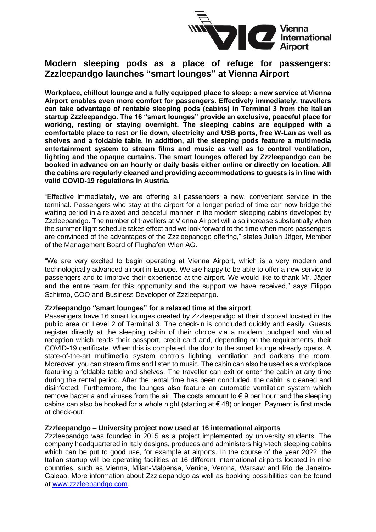

## **Modern sleeping pods as a place of refuge for passengers: Zzzleepandgo launches "smart lounges" at Vienna Airport**

**Workplace, chillout lounge and a fully equipped place to sleep: a new service at Vienna Airport enables even more comfort for passengers. Effectively immediately, travellers can take advantage of rentable sleeping pods (cabins) in Terminal 3 from the Italian startup Zzzleepandgo. The 16 "smart lounges" provide an exclusive, peaceful place for working, resting or staying overnight. The sleeping cabins are equipped with a comfortable place to rest or lie down, electricity and USB ports, free W-Lan as well as shelves and a foldable table. In addition, all the sleeping pods feature a multimedia entertainment system to stream films and music as well as to control ventilation, lighting and the opaque curtains. The smart lounges offered by Zzzleepandgo can be booked in advance on an hourly or daily basis either online or directly on location. All the cabins are regularly cleaned and providing accommodations to guests is in line with valid COVID-19 regulations in Austria.**

"Effective immediately, we are offering all passengers a new, convenient service in the terminal. Passengers who stay at the airport for a longer period of time can now bridge the waiting period in a relaxed and peaceful manner in the modern sleeping cabins developed by Zzzleepandgo. The number of travellers at Vienna Airport will also increase substantially when the summer flight schedule takes effect and we look forward to the time when more passengers are convinced of the advantages of the Zzzleepandgo offering," states Julian Jäger, Member of the Management Board of Flughafen Wien AG.

"We are very excited to begin operating at Vienna Airport, which is a very modern and technologically advanced airport in Europe. We are happy to be able to offer a new service to passengers and to improve their experience at the airport. We would like to thank Mr. Jäger and the entire team for this opportunity and the support we have received," says Filippo Schirmo, COO and Business Developer of Zzzleepango.

## **Zzzleepandgo "smart lounges" for a relaxed time at the airport**

Passengers have 16 smart lounges created by Zzzleepandgo at their disposal located in the public area on Level 2 of Terminal 3. The check-in is concluded quickly and easily. Guests register directly at the sleeping cabin of their choice via a modern touchpad and virtual reception which reads their passport, credit card and, depending on the requirements, their COVID-19 certificate. When this is completed, the door to the smart lounge already opens. A state-of-the-art multimedia system controls lighting, ventilation and darkens the room. Moreover, you can stream films and listen to music. The cabin can also be used as a workplace featuring a foldable table and shelves. The traveller can exit or enter the cabin at any time during the rental period. After the rental time has been concluded, the cabin is cleaned and disinfected. Furthermore, the lounges also feature an automatic ventilation system which remove bacteria and viruses from the air. The costs amount to  $\epsilon$  9 per hour, and the sleeping cabins can also be booked for a whole night (starting at  $\epsilon$  48) or longer. Payment is first made at check-out.

## **Zzzleepandgo – University project now used at 16 international airports**

Zzzleepandgo was founded in 2015 as a project implemented by university students. The company headquartered in Italy designs, produces and administers high-tech sleeping cabins which can be put to good use, for example at airports. In the course of the year 2022, the Italian startup will be operating facilities at 16 different international airports located in nine countries, such as Vienna, Milan-Malpensa, Venice, Verona, Warsaw and Rio de Janeiro-Galeao. More information about Zzzleepandgo as well as booking possibilities can be found at [www.zzzleepandgo.com.](http://www.zzzleepandgo.com/)